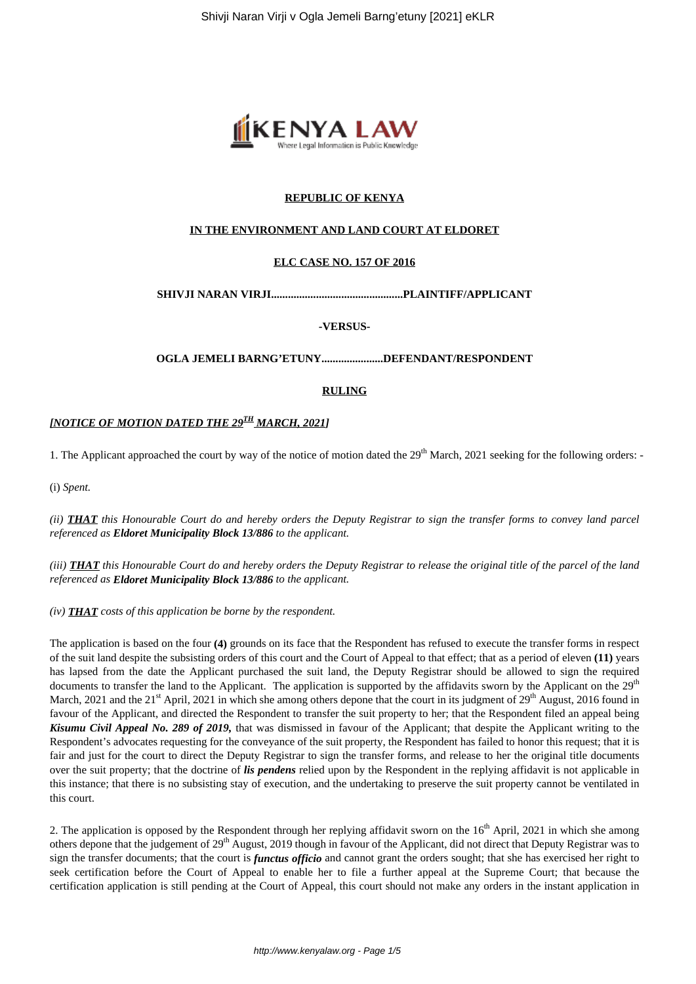

## **REPUBLIC OF KENYA**

## **IN THE ENVIRONMENT AND LAND COURT AT ELDORET**

#### **ELC CASE NO. 157 OF 2016**

**SHIVJI NARAN VIRJI...............................................PLAINTIFF/APPLICANT**

#### **-VERSUS-**

**OGLA JEMELI BARNG'ETUNY......................DEFENDANT/RESPONDENT**

## **RULING**

## *[NOTICE OF MOTION DATED THE 29TH MARCH, 2021]*

1. The Applicant approached the court by way of the notice of motion dated the  $29<sup>th</sup>$  March, 2021 seeking for the following orders: -

(i) *Spent.*

*(ii) THAT this Honourable Court do and hereby orders the Deputy Registrar to sign the transfer forms to convey land parcel referenced as Eldoret Municipality Block 13/886 to the applicant.*

*(iii) THAT this Honourable Court do and hereby orders the Deputy Registrar to release the original title of the parcel of the land referenced as Eldoret Municipality Block 13/886 to the applicant.*

*(iv) THAT costs of this application be borne by the respondent.*

The application is based on the four **(4)** grounds on its face that the Respondent has refused to execute the transfer forms in respect of the suit land despite the subsisting orders of this court and the Court of Appeal to that effect; that as a period of eleven **(11)** years has lapsed from the date the Applicant purchased the suit land, the Deputy Registrar should be allowed to sign the required documents to transfer the land to the Applicant. The application is supported by the affidavits sworn by the Applicant on the  $29<sup>th</sup>$ March, 2021 and the 21<sup>st</sup> April, 2021 in which she among others depone that the court in its judgment of 29<sup>th</sup> August, 2016 found in favour of the Applicant, and directed the Respondent to transfer the suit property to her; that the Respondent filed an appeal being *Kisumu Civil Appeal No. 289 of 2019,* that was dismissed in favour of the Applicant; that despite the Applicant writing to the Respondent's advocates requesting for the conveyance of the suit property, the Respondent has failed to honor this request; that it is fair and just for the court to direct the Deputy Registrar to sign the transfer forms, and release to her the original title documents over the suit property; that the doctrine of *lis pendens* relied upon by the Respondent in the replying affidavit is not applicable in this instance; that there is no subsisting stay of execution, and the undertaking to preserve the suit property cannot be ventilated in this court.

2. The application is opposed by the Respondent through her replying affidavit sworn on the  $16<sup>th</sup>$  April, 2021 in which she among others depone that the judgement of 29<sup>th</sup> August, 2019 though in favour of the Applicant, did not direct that Deputy Registrar was to sign the transfer documents; that the court is *functus officio* and cannot grant the orders sought; that she has exercised her right to seek certification before the Court of Appeal to enable her to file a further appeal at the Supreme Court; that because the certification application is still pending at the Court of Appeal, this court should not make any orders in the instant application in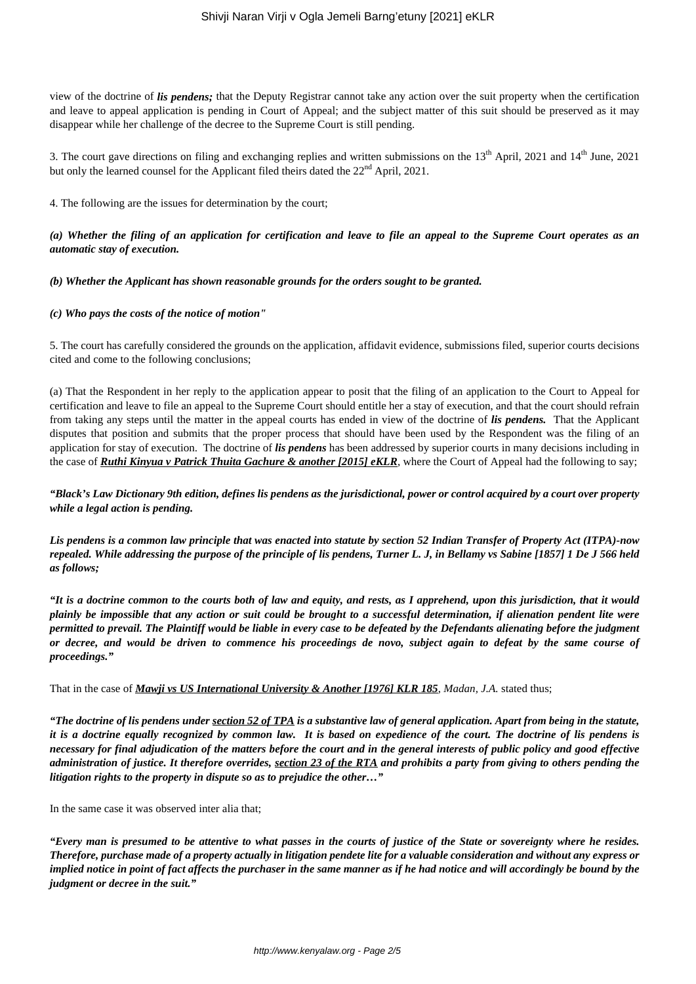view of the doctrine of *lis pendens;* that the Deputy Registrar cannot take any action over the suit property when the certification and leave to appeal application is pending in Court of Appeal; and the subject matter of this suit should be preserved as it may disappear while her challenge of the decree to the Supreme Court is still pending.

3. The court gave directions on filing and exchanging replies and written submissions on the  $13<sup>th</sup>$  April, 2021 and  $14<sup>th</sup>$  June, 2021 but only the learned counsel for the Applicant filed theirs dated the 22<sup>nd</sup> April, 2021.

4. The following are the issues for determination by the court;

## *(a) Whether the filing of an application for certification and leave to file an appeal to the Supreme Court operates as an automatic stay of execution.*

*(b) Whether the Applicant has shown reasonable grounds for the orders sought to be granted.*

#### *(c) Who pays the costs of the notice of motion"*

5. The court has carefully considered the grounds on the application, affidavit evidence, submissions filed, superior courts decisions cited and come to the following conclusions;

(a) That the Respondent in her reply to the application appear to posit that the filing of an application to the Court to Appeal for certification and leave to file an appeal to the Supreme Court should entitle her a stay of execution, and that the court should refrain from taking any steps until the matter in the appeal courts has ended in view of the doctrine of *lis pendens.* That the Applicant disputes that position and submits that the proper process that should have been used by the Respondent was the filing of an application for stay of execution. The doctrine of *lis pendens* has been addressed by superior courts in many decisions including in the case of *Ruthi Kinyua v Patrick Thuita Gachure & another [2015] eKLR*, where the Court of Appeal had the following to say;

*"Black's Law Dictionary 9th edition, defines lis pendens as the jurisdictional, power or control acquired by a court over property while a legal action is pending.*

*Lis pendens is a common law principle that was enacted into statute by section 52 Indian Transfer of Property Act (ITPA)-now repealed. While addressing the purpose of the principle of lis pendens, Turner L. J, in Bellamy vs Sabine [1857] 1 De J 566 held as follows;*

*"It is a doctrine common to the courts both of law and equity, and rests, as I apprehend, upon this jurisdiction, that it would plainly be impossible that any action or suit could be brought to a successful determination, if alienation pendent lite were permitted to prevail. The Plaintiff would be liable in every case to be defeated by the Defendants alienating before the judgment or decree, and would be driven to commence his proceedings de novo, subject again to defeat by the same course of proceedings."*

That in the case of *Mawji vs US International University & Another [1976] KLR 185*, *Madan, J.A.* stated thus;

*"The doctrine of lis pendens under section 52 of TPA is a substantive law of general application. Apart from being in the statute, it is a doctrine equally recognized by common law. It is based on expedience of the court. The doctrine of lis pendens is necessary for final adjudication of the matters before the court and in the general interests of public policy and good effective administration of justice. It therefore overrides, section 23 of the RTA and prohibits a party from giving to others pending the litigation rights to the property in dispute so as to prejudice the other…"*

In the same case it was observed inter alia that;

*"Every man is presumed to be attentive to what passes in the courts of justice of the State or sovereignty where he resides. Therefore, purchase made of a property actually in litigation pendete lite for a valuable consideration and without any express or implied notice in point of fact affects the purchaser in the same manner as if he had notice and will accordingly be bound by the judgment or decree in the suit."*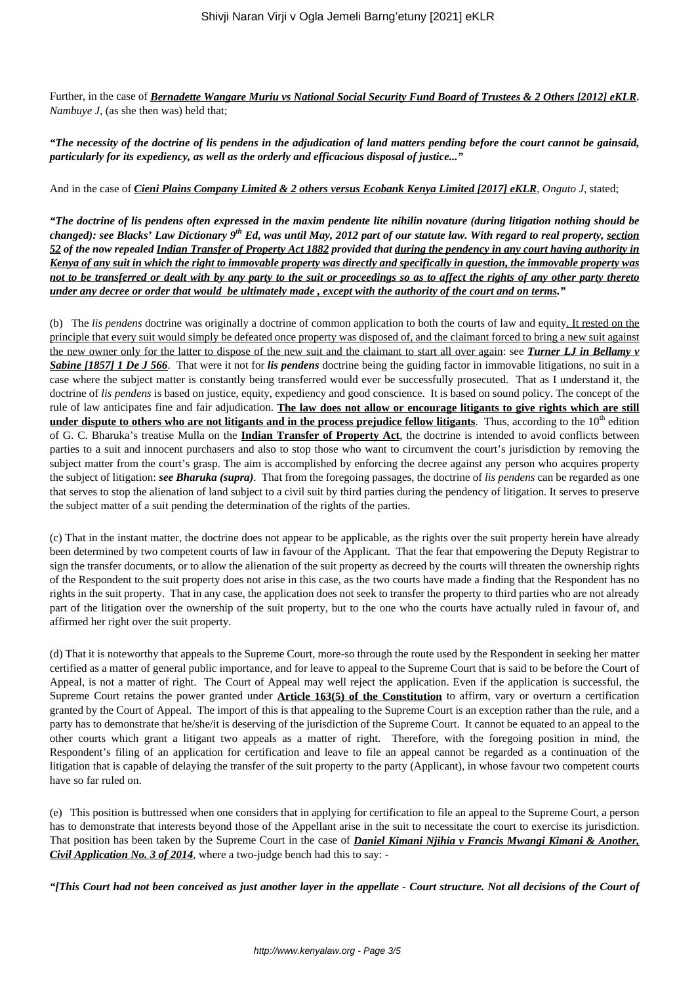Further, in the case of *Bernadette Wangare Muriu vs National Social Security Fund Board of Trustees & 2 Others [2012] eKLR*, *Nambuye J*, (as she then was) held that;

*"The necessity of the doctrine of lis pendens in the adjudication of land matters pending before the court cannot be gainsaid, particularly for its expediency, as well as the orderly and efficacious disposal of justice..."*

## And in the case of *Cieni Plains Company Limited & 2 others versus Ecobank Kenya Limited [2017] eKLR*, *Onguto J*, stated;

*"The doctrine of lis pendens often expressed in the maxim pendente lite nihilin novature (during litigation nothing should be changed): see Blacks' Law Dictionary 9th Ed, was until May, 2012 part of our statute law. With regard to real property, section 52 of the now repealed Indian Transfer of Property Act 1882 provided that during the pendency in any court having authority in Kenya of any suit in which the right to immovable property was directly and specifically in question, the immovable property was not to be transferred or dealt with by any party to the suit or proceedings so as to affect the rights of any other party thereto under any decree or order that would be ultimately made , except with the authority of the court and on terms."*

(b) The *lis pendens* doctrine was originally a doctrine of common application to both the courts of law and equity. It rested on the principle that every suit would simply be defeated once property was disposed of, and the claimant forced to bring a new suit against the new owner only for the latter to dispose of the new suit and the claimant to start all over again: see *Turner LJ in Bellamy v Sabine [1857] 1 De J 566*. That were it not for *lis pendens* doctrine being the guiding factor in immovable litigations, no suit in a case where the subject matter is constantly being transferred would ever be successfully prosecuted. That as I understand it, the doctrine of *lis pendens* is based on justice, equity, expediency and good conscience. It is based on sound policy. The concept of the rule of law anticipates fine and fair adjudication. **The law does not allow or encourage litigants to give rights which are still under dispute to others who are not litigants and in the process prejudice fellow litigants**. Thus, according to the 10<sup>th</sup> edition of G. C. Bharuka's treatise Mulla on the **Indian Transfer of Property Act**, the doctrine is intended to avoid conflicts between parties to a suit and innocent purchasers and also to stop those who want to circumvent the court's jurisdiction by removing the subject matter from the court's grasp. The aim is accomplished by enforcing the decree against any person who acquires property the subject of litigation: *see Bharuka (supra)*. That from the foregoing passages, the doctrine of *lis pendens* can be regarded as one that serves to stop the alienation of land subject to a civil suit by third parties during the pendency of litigation. It serves to preserve the subject matter of a suit pending the determination of the rights of the parties.

(c) That in the instant matter, the doctrine does not appear to be applicable, as the rights over the suit property herein have already been determined by two competent courts of law in favour of the Applicant. That the fear that empowering the Deputy Registrar to sign the transfer documents, or to allow the alienation of the suit property as decreed by the courts will threaten the ownership rights of the Respondent to the suit property does not arise in this case, as the two courts have made a finding that the Respondent has no rights in the suit property. That in any case, the application does not seek to transfer the property to third parties who are not already part of the litigation over the ownership of the suit property, but to the one who the courts have actually ruled in favour of, and affirmed her right over the suit property.

(d) That it is noteworthy that appeals to the Supreme Court, more-so through the route used by the Respondent in seeking her matter certified as a matter of general public importance, and for leave to appeal to the Supreme Court that is said to be before the Court of Appeal, is not a matter of right. The Court of Appeal may well reject the application. Even if the application is successful, the Supreme Court retains the power granted under **Article 163(5) of the Constitution** to affirm, vary or overturn a certification granted by the Court of Appeal. The import of this is that appealing to the Supreme Court is an exception rather than the rule, and a party has to demonstrate that he/she/it is deserving of the jurisdiction of the Supreme Court. It cannot be equated to an appeal to the other courts which grant a litigant two appeals as a matter of right. Therefore, with the foregoing position in mind, the Respondent's filing of an application for certification and leave to file an appeal cannot be regarded as a continuation of the litigation that is capable of delaying the transfer of the suit property to the party (Applicant), in whose favour two competent courts have so far ruled on.

(e) This position is buttressed when one considers that in applying for certification to file an appeal to the Supreme Court, a person has to demonstrate that interests beyond those of the Appellant arise in the suit to necessitate the court to exercise its jurisdiction. That position has been taken by the Supreme Court in the case of *Daniel Kimani Njihia v Francis Mwangi Kimani & Another, Civil Application No. 3 of 2014,* where a two-judge bench had this to say: -

*"[This Court had not been conceived as just another layer in the appellate - Court structure. Not all decisions of the Court of*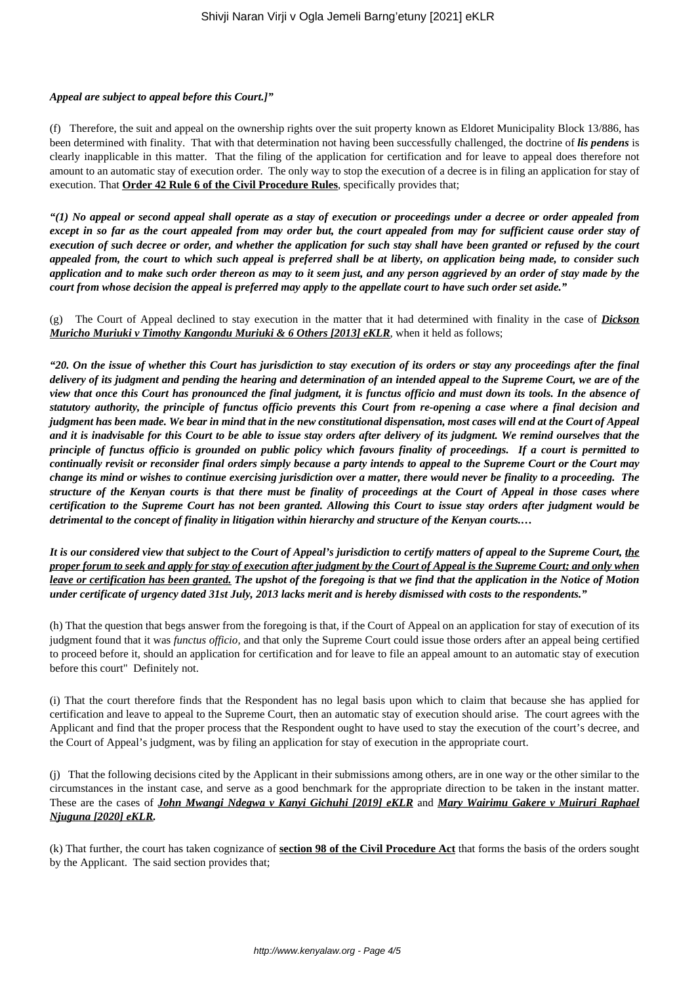### *Appeal are subject to appeal before this Court.]"*

(f) Therefore, the suit and appeal on the ownership rights over the suit property known as Eldoret Municipality Block 13/886, has been determined with finality. That with that determination not having been successfully challenged, the doctrine of *lis pendens* is clearly inapplicable in this matter. That the filing of the application for certification and for leave to appeal does therefore not amount to an automatic stay of execution order. The only way to stop the execution of a decree is in filing an application for stay of execution. That **Order 42 Rule 6 of the Civil Procedure Rules**, specifically provides that;

*"(1) No appeal or second appeal shall operate as a stay of execution or proceedings under a decree or order appealed from except in so far as the court appealed from may order but, the court appealed from may for sufficient cause order stay of execution of such decree or order, and whether the application for such stay shall have been granted or refused by the court appealed from, the court to which such appeal is preferred shall be at liberty, on application being made, to consider such application and to make such order thereon as may to it seem just, and any person aggrieved by an order of stay made by the court from whose decision the appeal is preferred may apply to the appellate court to have such order set aside."*

(g) The Court of Appeal declined to stay execution in the matter that it had determined with finality in the case of *Dickson Muricho Muriuki v Timothy Kangondu Muriuki & 6 Others [2013] eKLR*, when it held as follows;

*"20. On the issue of whether this Court has jurisdiction to stay execution of its orders or stay any proceedings after the final delivery of its judgment and pending the hearing and determination of an intended appeal to the Supreme Court, we are of the view that once this Court has pronounced the final judgment, it is functus officio and must down its tools. In the absence of statutory authority, the principle of functus officio prevents this Court from re-opening a case where a final decision and judgment has been made. We bear in mind that in the new constitutional dispensation, most cases will end at the Court of Appeal and it is inadvisable for this Court to be able to issue stay orders after delivery of its judgment. We remind ourselves that the principle of functus officio is grounded on public policy which favours finality of proceedings. If a court is permitted to continually revisit or reconsider final orders simply because a party intends to appeal to the Supreme Court or the Court may change its mind or wishes to continue exercising jurisdiction over a matter, there would never be finality to a proceeding. The structure of the Kenyan courts is that there must be finality of proceedings at the Court of Appeal in those cases where certification to the Supreme Court has not been granted. Allowing this Court to issue stay orders after judgment would be detrimental to the concept of finality in litigation within hierarchy and structure of the Kenyan courts.…*

*It is our considered view that subject to the Court of Appeal's jurisdiction to certify matters of appeal to the Supreme Court, the proper forum to seek and apply for stay of execution after judgment by the Court of Appeal is the Supreme Court; and only when leave or certification has been granted. The upshot of the foregoing is that we find that the application in the Notice of Motion under certificate of urgency dated 31st July, 2013 lacks merit and is hereby dismissed with costs to the respondents."*

(h) That the question that begs answer from the foregoing is that, if the Court of Appeal on an application for stay of execution of its judgment found that it was *functus officio,* and that only the Supreme Court could issue those orders after an appeal being certified to proceed before it, should an application for certification and for leave to file an appeal amount to an automatic stay of execution before this court" Definitely not.

(i) That the court therefore finds that the Respondent has no legal basis upon which to claim that because she has applied for certification and leave to appeal to the Supreme Court, then an automatic stay of execution should arise. The court agrees with the Applicant and find that the proper process that the Respondent ought to have used to stay the execution of the court's decree, and the Court of Appeal's judgment, was by filing an application for stay of execution in the appropriate court.

(j) That the following decisions cited by the Applicant in their submissions among others, are in one way or the other similar to the circumstances in the instant case, and serve as a good benchmark for the appropriate direction to be taken in the instant matter. These are the cases of *John Mwangi Ndegwa v Kanyi Gichuhi [2019] eKLR* and *Mary Wairimu Gakere v Muiruri Raphael Njuguna [2020] eKLR.*

(k) That further, the court has taken cognizance of **section 98 of the Civil Procedure Act** that forms the basis of the orders sought by the Applicant. The said section provides that;